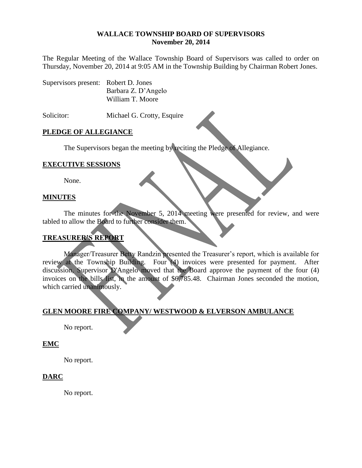#### **WALLACE TOWNSHIP BOARD OF SUPERVISORS November 20, 2014**

The Regular Meeting of the Wallace Township Board of Supervisors was called to order on Thursday, November 20, 2014 at 9:05 AM in the Township Building by Chairman Robert Jones.

| Supervisors present: Robert D. Jones |                     |
|--------------------------------------|---------------------|
|                                      | Barbara Z. D'Angelo |
|                                      | William T. Moore    |

Solicitor: Michael G. Crotty, Esquire

## **PLEDGE OF ALLEGIANCE**

The Supervisors began the meeting by reciting the Pledge of Allegiance.

### **EXECUTIVE SESSIONS**

None.

### **MINUTES**

The minutes for the November 5, 2014 meeting were presented for review, and were tabled to allow the Board to further consider them.

## **TREASURER'S REPORT**

Manager/Treasurer Betty Randzin presented the Treasurer's report, which is available for review at the Township Building. Four (4) invoices were presented for payment. After discussion, Supervisor D'Angelo moved that the Board approve the payment of the four (4) invoices on the bills list, in the amount of \$6,785.48. Chairman Jones seconded the motion, which carried unanimously.

# **GLEN MOORE FIRE COMPANY/ WESTWOOD & ELVERSON AMBULANCE**

No report.

## **EMC**

No report.

## **DARC**

No report.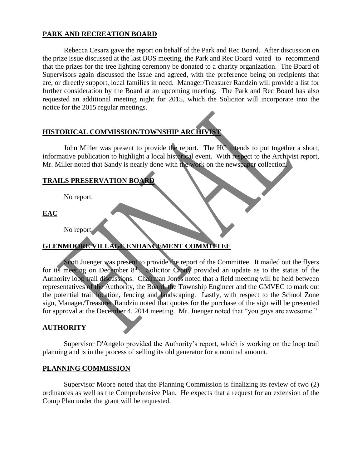## **PARK AND RECREATION BOARD**

Rebecca Cesarz gave the report on behalf of the Park and Rec Board. After discussion on the prize issue discussed at the last BOS meeting, the Park and Rec Board voted to recommend that the prizes for the tree lighting ceremony be donated to a charity organization. The Board of Supervisors again discussed the issue and agreed, with the preference being on recipients that are, or directly support, local families in need. Manager/Treasurer Randzin will provide a list for further consideration by the Board at an upcoming meeting. The Park and Rec Board has also requested an additional meeting night for 2015, which the Solicitor will incorporate into the notice for the 2015 regular meetings.

# **HISTORICAL COMMISSION/TOWNSHIP ARCHIVIST**

John Miller was present to provide the report. The HC intends to put together a short, informative publication to highlight a local historical event. With respect to the Archivist report, Mr. Miller noted that Sandy is nearly done with the work on the newspaper collection.

## **TRAILS PRESERVATION BOARD**

No report.

**EAC**

No report.

# **GLENMOORE VILLAGE ENHANCEMENT COMMITTEE**

Scott Juenger was present to provide the report of the Committee. It mailed out the flyers for its meeting on December 8<sup>th</sup>. Solicitor Crotty provided an update as to the status of the Authority loop trail discussions. Chairman Jones noted that a field meeting will be held between representatives of the Authority, the Board, the Township Engineer and the GMVEC to mark out the potential trail location, fencing and landscaping. Lastly, with respect to the School Zone sign, Manager/Treasurer Randzin noted that quotes for the purchase of the sign will be presented for approval at the December 4, 2014 meeting. Mr. Juenger noted that "you guys are awesome."

## **AUTHORITY**

Supervisor D'Angelo provided the Authority's report, which is working on the loop trail planning and is in the process of selling its old generator for a nominal amount.

## **PLANNING COMMISSION**

Supervisor Moore noted that the Planning Commission is finalizing its review of two (2) ordinances as well as the Comprehensive Plan. He expects that a request for an extension of the Comp Plan under the grant will be requested.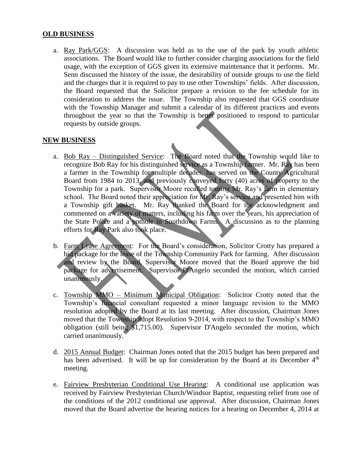### **OLD BUSINESS**

a. Ray Park/GGS: A discussion was held as to the use of the park by youth athletic associations. The Board would like to further consider charging associations for the field usage, with the exception of GGS given its extensive maintenance that it performs. Mr. Senn discussed the history of the issue, the desirability of outside groups to use the field and the charges that it is required to pay to use other Townships' fields. After discussion, the Board requested that the Solicitor prepare a revision to the fee schedule for its consideration to address the issue. The Township also requested that GGS coordinate with the Township Manager and submit a calendar of its different practices and events throughout the year so that the Township is better positioned to respond to particular requests by outside groups.

#### **NEW BUSINESS**

- a. Bob Ray Distinguished Service: The Board noted that the Township would like to recognize Bob Ray for his distinguished service as a Township farmer. Mr. Ray has been a farmer in the Township for multiple decades, has served on the County Agricultural Board from 1984 to 2013, and previously conveyed forty (40) acres of property to the Township for a park. Supervisor Moore recalled touring Mr. Ray's farm in elementary school. The Board noted their appreciation for Mr. Ray's service and presented him with a Township gift basket. Mr. Ray thanked the Board for the acknowledgment and commented on a variety of matters, including his farm over the years, his appreciation of the State Police and a pothole in Southdown Farms. A discussion as to the planning efforts for Ray Park also took place.
- b. Farm Lease Agreement: For the Board's consideration, Solicitor Crotty has prepared a bid package for the lease of the Township Community Park for farming. After discussion and review by the Board, Supervisor Moore moved that the Board approve the bid package for advertisement. Supervisor D'Angelo seconded the motion, which carried unanimously.
- c. Township MMO Minimum Municipal Obligation: Solicitor Crotty noted that the Township's financial consultant requested a minor language revision to the MMO resolution adopted by the Board at its last meeting. After discussion, Chairman Jones moved that the Township adopt Resolution 9-2014, with respect to the Township's MMO obligation (still being \$1,715.00). Supervisor D'Angelo seconded the motion, which carried unanimously.
- d. 2015 Annual Budget: Chairman Jones noted that the 2015 budget has been prepared and has been advertised. It will be up for consideration by the Board at its December  $4<sup>th</sup>$ meeting.
- e. Fairview Presbyterian Conditional Use Hearing: A conditional use application was received by Fairview Presbyterian Church/Windsor Baptist, requesting relief from one of the conditions of the 2012 conditional use approval. After discussion, Chairman Jones moved that the Board advertise the hearing notices for a hearing on December 4, 2014 at